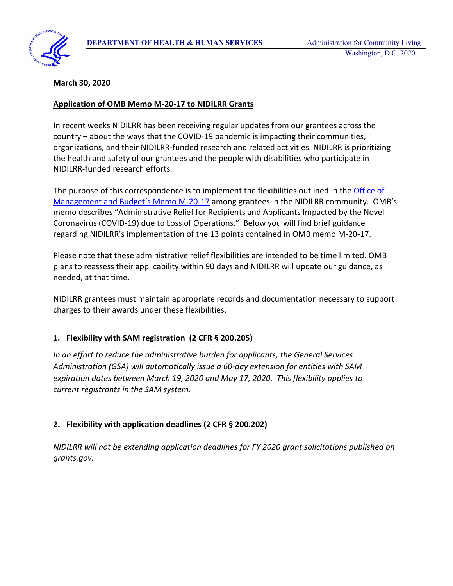

#### **March 30, 2020**

#### **Application of OMB Memo M-20-17 to NIDILRR Grants**

In recent weeks NIDILRR has been receiving regular updates from our grantees across the country – about the ways that the COVID-19 pandemic is impacting their communities, organizations, and their NIDILRR-funded research and related activities. NIDILRR is prioritizing the health and safety of our grantees and the people with disabilities who participate in NIDILRR-funded research efforts.

The purpose of this correspondence is to implement the flexibilities outlined in the **Office of** [Management and Budget's Memo M-20-17](https://www.whitehouse.gov/wp-content/uploads/2020/03/M-20-17.pdf) among grantees in the NIDILRR community. OMB's memo describes "Administrative Relief for Recipients and Applicants Impacted by the Novel Coronavirus (COVID-19) due to Loss of Operations." Below you will find brief guidance regarding NIDILRR's implementation of the 13 points contained in OMB memo M-20-17.

Please note that these administrative relief flexibilities are intended to be time limited. OMB plans to reassess their applicability within 90 days and NIDILRR will update our guidance, as needed, at that time.

NIDILRR grantees must maintain appropriate records and documentation necessary to support charges to their awards under these flexibilities.

#### **1. Flexibility with SAM registration (2 CFR § 200.205)**

*In an effort to reduce the administrative burden for applicants, the General Services Administration (GSA) will automatically issue a 60-day extension for entities with SAM expiration dates between March 19, 2020 and May 17, 2020. This flexibility applies to current registrants in the SAM system.*

### **2. Flexibility with application deadlines (2 CFR § 200.202)**

*NIDILRR will not be extending application deadlines for FY 2020 grant solicitations published on grants.gov.*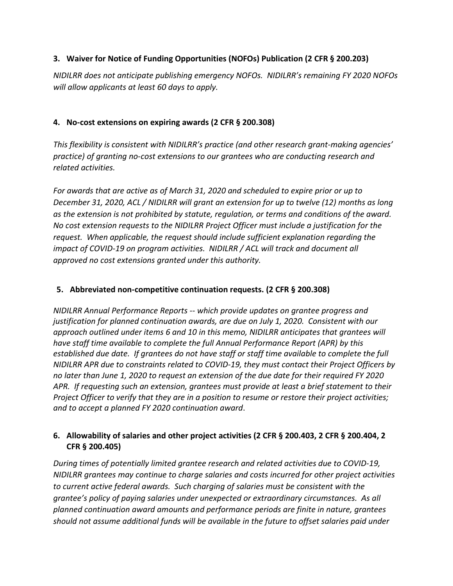## **3. Waiver for Notice of Funding Opportunities (NOFOs) Publication (2 CFR § 200.203)**

*NIDILRR does not anticipate publishing emergency NOFOs. NIDILRR's remaining FY 2020 NOFOs will allow applicants at least 60 days to apply.* 

## **4. No-cost extensions on expiring awards (2 CFR § 200.308)**

*This flexibility is consistent with NIDILRR's practice (and other research grant-making agencies' practice) of granting no-cost extensions to our grantees who are conducting research and related activities.* 

*For awards that are active as of March 31, 2020 and scheduled to expire prior or up to December 31, 2020, ACL / NIDILRR will grant an extension for up to twelve (12) months as long as the extension is not prohibited by statute, regulation, or terms and conditions of the award. No cost extension requests to the NIDILRR Project Officer must include a justification for the request. When applicable, the request should include sufficient explanation regarding the impact of COVID-19 on program activities. NIDILRR / ACL will track and document all approved no cost extensions granted under this authority.*

### **5. Abbreviated non-competitive continuation requests. (2 CFR § 200.308)**

*NIDILRR Annual Performance Reports -- which provide updates on grantee progress and justification for planned continuation awards, are due on July 1, 2020. Consistent with our approach outlined under items 6 and 10 in this memo, NIDILRR anticipates that grantees will have staff time available to complete the full Annual Performance Report (APR) by this established due date. If grantees do not have staff or staff time available to complete the full NIDILRR APR due to constraints related to COVID-19, they must contact their Project Officers by no later than June 1, 2020 to request an extension of the due date for their required FY 2020 APR. If requesting such an extension, grantees must provide at least a brief statement to their Project Officer to verify that they are in a position to resume or restore their project activities; and to accept a planned FY 2020 continuation award*.

## **6. Allowability of salaries and other project activities (2 CFR § 200.403, 2 CFR § 200.404, 2 CFR § 200.405)**

*During times of potentially limited grantee research and related activities due to COVID-19, NIDILRR grantees may continue to charge salaries and costs incurred for other project activities to current active federal awards. Such charging of salaries must be consistent with the grantee's policy of paying salaries under unexpected or extraordinary circumstances. As all planned continuation award amounts and performance periods are finite in nature, grantees should not assume additional funds will be available in the future to offset salaries paid under*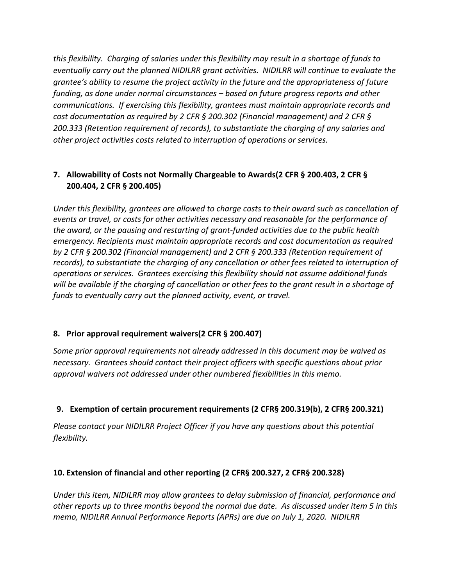*this flexibility. Charging of salaries under this flexibility may result in a shortage of funds to eventually carry out the planned NIDILRR grant activities. NIDILRR will continue to evaluate the grantee's ability to resume the project activity in the future and the appropriateness of future funding, as done under normal circumstances – based on future progress reports and other communications. If exercising this flexibility, grantees must maintain appropriate records and cost documentation as required by 2 CFR § 200.302 (Financial management) and 2 CFR § 200.333 (Retention requirement of records), to substantiate the charging of any salaries and other project activities costs related to interruption of operations or services.*

# **7. Allowability of Costs not Normally Chargeable to Awards(2 CFR § 200.403, 2 CFR § 200.404, 2 CFR § 200.405)**

*Under this flexibility, grantees are allowed to charge costs to their award such as cancellation of events or travel, or costs for other activities necessary and reasonable for the performance of the award, or the pausing and restarting of grant-funded activities due to the public health emergency. Recipients must maintain appropriate records and cost documentation as required by 2 CFR § 200.302 (Financial management) and 2 CFR § 200.333 (Retention requirement of records), to substantiate the charging of any cancellation or other fees related to interruption of operations or services. Grantees exercising this flexibility should not assume additional funds will be available if the charging of cancellation or other fees to the grant result in a shortage of funds to eventually carry out the planned activity, event, or travel.* 

### **8. Prior approval requirement waivers(2 CFR § 200.407)**

*Some prior approval requirements not already addressed in this document may be waived as necessary. Grantees should contact their project officers with specific questions about prior approval waivers not addressed under other numbered flexibilities in this memo.* 

# **9. Exemption of certain procurement requirements (2 CFR§ 200.319(b), 2 CFR§ 200.321)**

*Please contact your NIDILRR Project Officer if you have any questions about this potential flexibility.*

### **10. Extension of financial and other reporting (2 CFR§ 200.327, 2 CFR§ 200.328)**

*Under this item, NIDILRR may allow grantees to delay submission of financial, performance and other reports up to three months beyond the normal due date. As discussed under item 5 in this memo, NIDILRR Annual Performance Reports (APRs) are due on July 1, 2020. NIDILRR*